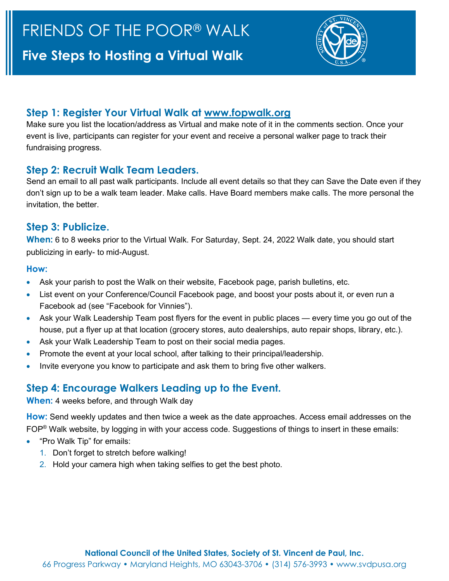

### **Step 1: Register Your Virtual Walk at [www.fopwalk.org](http://www.fopwalk.org/)**

Make sure you list the location/address as Virtual and make note of it in the comments section. Once your event is live, participants can register for your event and receive a personal walker page to track their fundraising progress.

#### **Step 2: Recruit Walk Team Leaders.**

Send an email to all past walk participants. Include all event details so that they can Save the Date even if they don't sign up to be a walk team leader. Make calls. Have Board members make calls. The more personal the invitation, the better.

## **Step 3: Publicize.**

**When:** 6 to 8 weeks prior to the Virtual Walk. For Saturday, Sept. 24, 2022 Walk date, you should start publicizing in early- to mid-August.

#### **How:**

- Ask your parish to post the Walk on their website, Facebook page, parish bulletins, etc.
- List event on your Conference/Council Facebook page, and boost your posts about it, or even run a Facebook ad (see "Facebook for Vinnies").
- Ask your Walk Leadership Team post flyers for the event in public places every time you go out of the house, put a flyer up at that location (grocery stores, auto dealerships, auto repair shops, library, etc.).
- Ask your Walk Leadership Team to post on their social media pages.
- Promote the event at your local school, after talking to their principal/leadership.
- Invite everyone you know to participate and ask them to bring five other walkers.

# **Step 4: Encourage Walkers Leading up to the Event.**

#### **When:** 4 weeks before, and through Walk day

**How:** Send weekly updates and then twice a week as the date approaches. Access email addresses on the FOP® Walk website, by logging in with your access code. Suggestions of things to insert in these emails:

- "Pro Walk Tip" for emails:
	- 1. Don't forget to stretch before walking!
	- 2. Hold your camera high when taking selfies to get the best photo.